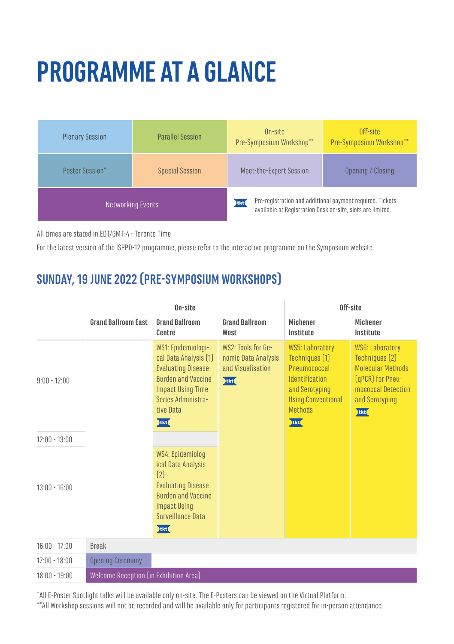# **PROGRAMME AT A GLANCE**

| <b>Plenary Session</b> | <b>Parallel Session</b> | On-site<br>Pre-Symposium Workshop**                                                                                             | Off-site<br>Pre-Symposium Workshop** |
|------------------------|-------------------------|---------------------------------------------------------------------------------------------------------------------------------|--------------------------------------|
| <b>Poster Session*</b> | <b>Special Session</b>  | Meet-the-Expert Session                                                                                                         | Opening / Closing                    |
| Networking Events      |                         | Pre-registration and additional payment required. Tickets<br>tkt(<br>available at Registration Desk on-site, slots are limited. |                                      |

All times are stated in EDT/GMT-4 - Toronto Time

For the latest version of the ISPPD-12 programme, please refer to the interactive programme on the Symposium website.

## **SUNDAY, 19 JUNE 2022 (PRE-SYMPOSIUM WORKSHOPS)**

|                 | On-site                                |                                                                                                                                                                              | Off-site                                                               |                                                                                                                                                             |                                                                                                                                           |
|-----------------|----------------------------------------|------------------------------------------------------------------------------------------------------------------------------------------------------------------------------|------------------------------------------------------------------------|-------------------------------------------------------------------------------------------------------------------------------------------------------------|-------------------------------------------------------------------------------------------------------------------------------------------|
|                 | <b>Grand Ballroom East</b>             | <b>Grand Ballroom</b><br>Centre                                                                                                                                              | <b>Grand Ballroom</b><br>West                                          | <b>Michener</b><br>Institute                                                                                                                                | <b>Michener</b><br>Institute                                                                                                              |
| $9:00 - 12:00$  |                                        | WS1: Epidemiologi-<br>cal Data Analysis [1]<br><b>Evaluating Disease</b><br><b>Burden and Vaccine</b><br><b>Impact Using Time</b><br>Series Administra-<br>tive Data<br>tkt( | WS2: Tools for Ge-<br>nomic Data Analysis<br>and Visualisation<br>tkt( | <b>WS5: Laboratory</b><br>Techniques [1]<br>Pneumococcal<br><b>Identification</b><br>and Serotyping<br><b>Using Conventional</b><br><b>Methods</b><br>tkt ( | <b>WS6: Laboratory</b><br>Techniques (2)<br><b>Molecular Methods</b><br>(qPCR) for Pneu-<br>mococcal Detection<br>and Serotyping<br>tkt ( |
| $12:00 - 13:00$ |                                        |                                                                                                                                                                              |                                                                        |                                                                                                                                                             |                                                                                                                                           |
| $13:00 - 16:00$ |                                        | WS4: Epidemiolog-<br>ical Data Analysis<br>[2]<br><b>Evaluating Disease</b><br><b>Burden and Vaccine</b><br><b>Impact Using</b><br>Surveillance Data<br>$\frac{1}{2}$        |                                                                        |                                                                                                                                                             |                                                                                                                                           |
| $16:00 - 17:00$ | <b>Break</b>                           |                                                                                                                                                                              |                                                                        |                                                                                                                                                             |                                                                                                                                           |
| $17:00 - 18:00$ | <b>Opening Ceremony</b>                |                                                                                                                                                                              |                                                                        |                                                                                                                                                             |                                                                                                                                           |
| $18:00 - 19:00$ | Welcome Reception (in Exhibition Area) |                                                                                                                                                                              |                                                                        |                                                                                                                                                             |                                                                                                                                           |

\*All E-Poster Spotlight talks will be available only on-site. The E-Posters can be viewed on the Virtual Platform.

\*\*All Workshop sessions will not be recorded and will be available only for participants registered for in-person attendance.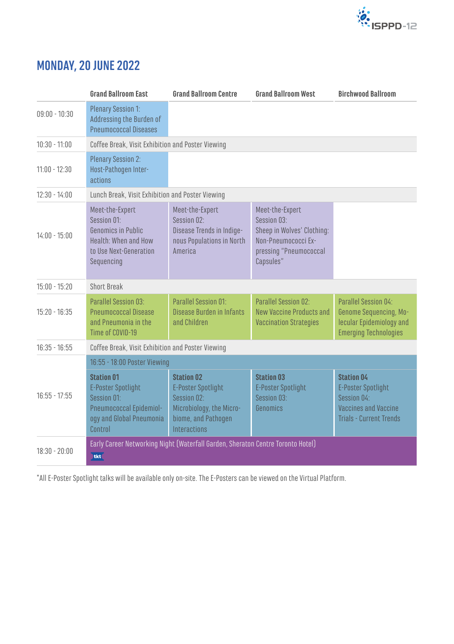

#### **MONDAY, 20 JUNE 2022**

|                 | <b>Grand Ballroom East</b>                                                                                                      | <b>Grand Ballroom Centre</b>                                                                                                     | <b>Grand Ballroom West</b>                                                                                                 | <b>Birchwood Ballroom</b>                                                                                                      |  |  |
|-----------------|---------------------------------------------------------------------------------------------------------------------------------|----------------------------------------------------------------------------------------------------------------------------------|----------------------------------------------------------------------------------------------------------------------------|--------------------------------------------------------------------------------------------------------------------------------|--|--|
| $09:00 - 10:30$ | <b>Plenary Session 1:</b><br>Addressing the Burden of<br><b>Pneumococcal Diseases</b>                                           |                                                                                                                                  |                                                                                                                            |                                                                                                                                |  |  |
| $10:30 - 11:00$ | Coffee Break, Visit Exhibition and Poster Viewing                                                                               |                                                                                                                                  |                                                                                                                            |                                                                                                                                |  |  |
| $11:00 - 12:30$ | <b>Plenary Session 2:</b><br>Host-Pathogen Inter-<br>actions                                                                    |                                                                                                                                  |                                                                                                                            |                                                                                                                                |  |  |
| $12:30 - 14:00$ | Lunch Break, Visit Exhibition and Poster Viewing                                                                                |                                                                                                                                  |                                                                                                                            |                                                                                                                                |  |  |
| $14:00 - 15:00$ | Meet-the-Expert<br>Session 01:<br>Genomics in Public<br>Health: When and How<br>to Use Next-Generation<br>Sequencing            | Meet-the-Expert<br>Session 02:<br>Disease Trends in Indige-<br>nous Populations in North<br>America                              | Meet-the-Expert<br>Session 03:<br>Sheep in Wolves' Clothing:<br>Non-Pneumococci Ex-<br>pressing "Pneumococcal<br>Capsules" |                                                                                                                                |  |  |
| $15:00 - 15:20$ | <b>Short Break</b>                                                                                                              |                                                                                                                                  |                                                                                                                            |                                                                                                                                |  |  |
| $15:20 - 16:35$ | <b>Parallel Session 03:</b><br><b>Pneumococcal Disease</b><br>and Pneumonia in the<br>Time of COVID-19                          | Parallel Session 01:<br>Disease Burden in Infants<br>and Children                                                                | Parallel Session 02:<br>New Vaccine Products and<br><b>Vaccination Strategies</b>                                          | Parallel Session 04:<br>Genome Sequencing, Mo-<br>lecular Epidemiology and<br><b>Emerging Technologies</b>                     |  |  |
| $16:35 - 16:55$ | Coffee Break, Visit Exhibition and Poster Viewing                                                                               |                                                                                                                                  |                                                                                                                            |                                                                                                                                |  |  |
|                 | 16:55 - 18:00 Poster Viewing                                                                                                    |                                                                                                                                  |                                                                                                                            |                                                                                                                                |  |  |
| $16:55 - 17:55$ | <b>Station 01</b><br><b>E-Poster Spotlight</b><br>Session 01:<br>Pneumococcal Epidemiol-<br>ogy and Global Pneumonia<br>Control | <b>Station 02</b><br><b>E-Poster Spotlight</b><br>Session 02:<br>Microbiology, the Micro-<br>biome, and Pathogen<br>Interactions | <b>Station 03</b><br><b>E-Poster Spotlight</b><br>Session 03:<br>Genomics                                                  | <b>Station 04</b><br><b>E-Poster Spotlight</b><br>Session 04:<br><b>Vaccines and Vaccine</b><br><b>Trials - Current Trends</b> |  |  |
| $18:30 - 20:00$ | Early Career Networking Night (Waterfall Garden, Sheraton Centre Toronto Hotel)<br>tkt                                          |                                                                                                                                  |                                                                                                                            |                                                                                                                                |  |  |

\*All E-Poster Spotlight talks will be available only on-site. The E-Posters can be viewed on the Virtual Platform.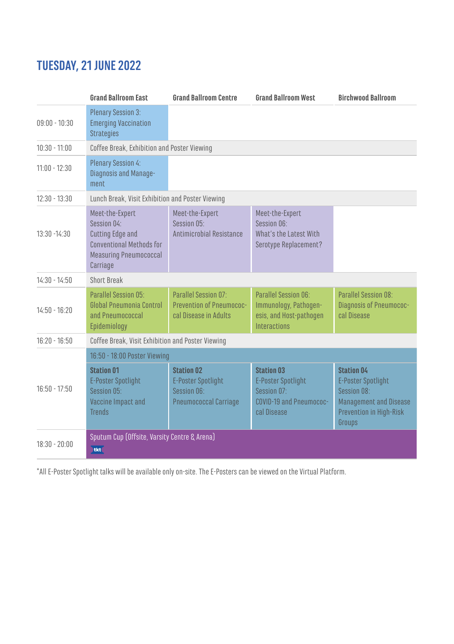#### **TUESDAY, 21 JUNE 2022**

|                 | <b>Grand Ballroom Fast</b>                                                                                                         | <b>Grand Ballroom Centre</b>                                                           | <b>Grand Ballroom West</b>                                                                              | <b>Birchwood Ballroom</b>                                                                                                           |  |
|-----------------|------------------------------------------------------------------------------------------------------------------------------------|----------------------------------------------------------------------------------------|---------------------------------------------------------------------------------------------------------|-------------------------------------------------------------------------------------------------------------------------------------|--|
| $09:00 - 10:30$ | <b>Plenary Session 3:</b><br><b>Emerging Vaccination</b><br><b>Strategies</b>                                                      |                                                                                        |                                                                                                         |                                                                                                                                     |  |
| $10:30 - 11:00$ | Coffee Break, Exhibition and Poster Viewing                                                                                        |                                                                                        |                                                                                                         |                                                                                                                                     |  |
| $11:00 - 12:30$ | <b>Plenary Session 4:</b><br>Diagnosis and Manage-<br>ment                                                                         |                                                                                        |                                                                                                         |                                                                                                                                     |  |
| $12:30 - 13:30$ | Lunch Break, Visit Exhibition and Poster Viewing                                                                                   |                                                                                        |                                                                                                         |                                                                                                                                     |  |
| 13:30 - 14:30   | Meet-the-Expert<br>Session 04:<br>Cutting Edge and<br><b>Conventional Methods for</b><br><b>Measuring Pneumococcal</b><br>Carriage | Meet-the-Expert<br>Session 05:<br>Antimicrobial Resistance                             | Meet-the-Expert<br>Session O6:<br>What's the Latest With<br>Serotype Replacement?                       |                                                                                                                                     |  |
| $14:30 - 14:50$ | Short Break                                                                                                                        |                                                                                        |                                                                                                         |                                                                                                                                     |  |
| $14:50 - 16:20$ | Parallel Session 05:<br>Global Pneumonia Control<br>and Pneumococcal<br>Epidemiology                                               | Parallel Session 07:<br>Prevention of Pneumococ-<br>cal Disease in Adults              | Parallel Session 06:<br>Immunology, Pathogen-<br>esis, and Host-pathogen<br>Interactions                | Parallel Session 08:<br><b>Diagnosis of Pneumococ-</b><br>cal Disease                                                               |  |
| $16:20 - 16:50$ | Coffee Break, Visit Exhibition and Poster Viewing                                                                                  |                                                                                        |                                                                                                         |                                                                                                                                     |  |
|                 | 16:50 - 18:00 Poster Viewing                                                                                                       |                                                                                        |                                                                                                         |                                                                                                                                     |  |
| $16:50 - 17:50$ | <b>Station 01</b><br><b>E-Poster Spotlight</b><br>Session 05:<br>Vaccine Impact and<br><b>Trends</b>                               | <b>Station 02</b><br>E-Poster Spotlight<br>Session O6:<br><b>Pneumococcal Carriage</b> | <b>Station 03</b><br><b>E-Poster Spotlight</b><br>Session 07:<br>COVID-19 and Pneumococ-<br>cal Disease | <b>Station 04</b><br><b>E-Poster Spotlight</b><br>Session 08:<br><b>Management and Disease</b><br>Prevention in High-Risk<br>Groups |  |
| $18:30 - 20:00$ | Sputum Cup (Offsite, Varsity Centre & Arena)<br>tkt                                                                                |                                                                                        |                                                                                                         |                                                                                                                                     |  |

\*All E-Poster Spotlight talks will be available only on-site. The E-Posters can be viewed on the Virtual Platform.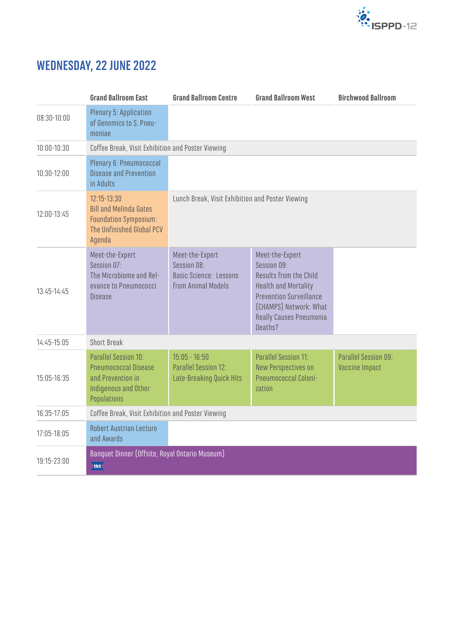

### **WEDNESDAY, 22 JUNE 2022**

|               | <b>Grand Ballroom East</b>                                                                                              | <b>Grand Ballroom Centre</b>                                                          | <b>Grand Ballroom West</b>                                                                                                                                                                       | <b>Birchwood Ballroom</b>              |
|---------------|-------------------------------------------------------------------------------------------------------------------------|---------------------------------------------------------------------------------------|--------------------------------------------------------------------------------------------------------------------------------------------------------------------------------------------------|----------------------------------------|
| 08:30-10:00   | Plenary 5: Application<br>of Genomics to S. Pneu-<br>moniae                                                             |                                                                                       |                                                                                                                                                                                                  |                                        |
| 10:00-10:30   | Coffee Break, Visit Exhibition and Poster Viewing                                                                       |                                                                                       |                                                                                                                                                                                                  |                                        |
| 10:30-12:00   | Plenary 6: Pneumococcal<br><b>Disease and Prevention</b><br>in Adults                                                   |                                                                                       |                                                                                                                                                                                                  |                                        |
| $12:00-13:45$ | $12:15 - 13:30$<br><b>Bill and Melinda Gates</b><br><b>Foundation Symposium:</b><br>The Unfinished Global PCV<br>Agenda | Lunch Break, Visit Exhibition and Poster Viewing                                      |                                                                                                                                                                                                  |                                        |
| 13:45-14:45   | Meet-the-Expert<br>Session 07:<br>The Microbiome and Rel-<br>evance to Pneumococci<br><b>Disease</b>                    | Meet-the-Expert<br>Session 08:<br><b>Basic Science: Lessons</b><br>from Animal Models | Meet-the-Expert<br>Session 09:<br>Results from the Child<br><b>Health and Mortality</b><br><b>Prevention Surveillance</b><br>(CHAMPS) Network: What<br><b>Really Causes Pneumonia</b><br>Deaths? |                                        |
| 14:45-15:05   | <b>Short Break</b>                                                                                                      |                                                                                       |                                                                                                                                                                                                  |                                        |
| 15:05-16:35   | Parallel Session 10:<br><b>Pneumococcal Disease</b><br>and Prevention in<br>Indigenous and Other<br>Populations         | $15:05 - 16:50$<br>Parallel Session 12:<br>Late-Breaking Quick Hits                   | Parallel Session 11:<br>New Perspectives on<br>Pneumococcal Coloni-<br>zation                                                                                                                    | Parallel Session 09:<br>Vaccine Impact |
| $16:35-17:05$ | Coffee Break, Visit Exhibition and Poster Viewing                                                                       |                                                                                       |                                                                                                                                                                                                  |                                        |
| 17:05-18:05   | <b>Robert Austrian Lecture</b><br>and Awards                                                                            |                                                                                       |                                                                                                                                                                                                  |                                        |
| 19:15-23:00   | Banquet Dinner (Offsite, Royal Ontario Museum)<br>tkt                                                                   |                                                                                       |                                                                                                                                                                                                  |                                        |